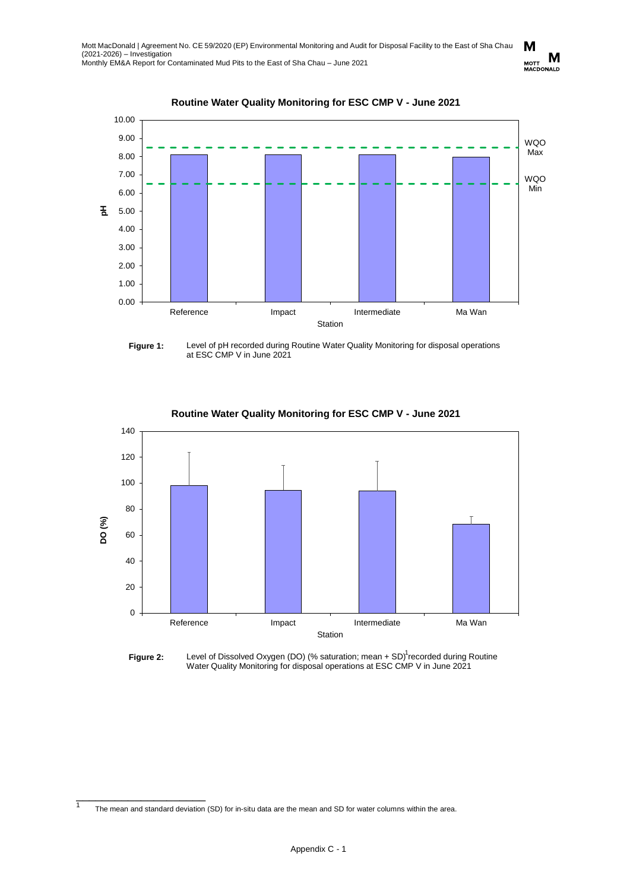

**Routine Water Quality Monitoring for ESC CMP V - June 2021**

Figure 1: Level of pH recorded during Routine Water Quality Monitoring for disposal operations at ESC CMP V in June 2021



## **Routine Water Quality Monitoring for ESC CMP V - June 2021**



The mean and standard deviation (SD) for in-situ data are the mean and SD for water columns within the area.

\_\_\_\_\_\_\_\_\_\_\_\_\_\_\_\_\_\_\_\_

 $\overline{1}$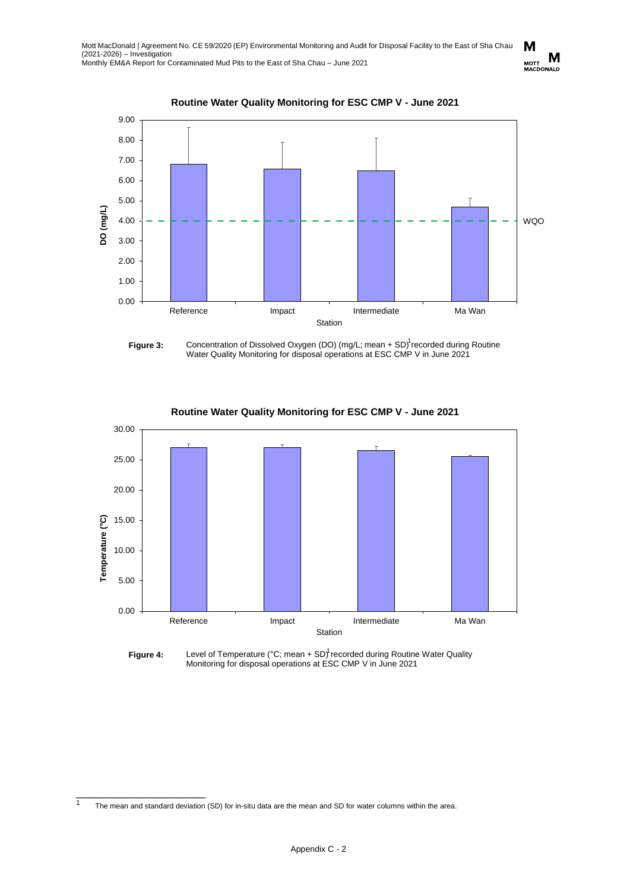

**Routine Water Quality Monitoring for ESC CMP V - June 2021**





**Routine Water Quality Monitoring for ESC CMP V - June 2021**



\_\_\_\_\_\_\_\_\_\_\_\_\_\_\_\_\_\_\_\_

<sup>1</sup> The mean and standard deviation (SD) for in-situ data are the mean and SD for water columns within the area.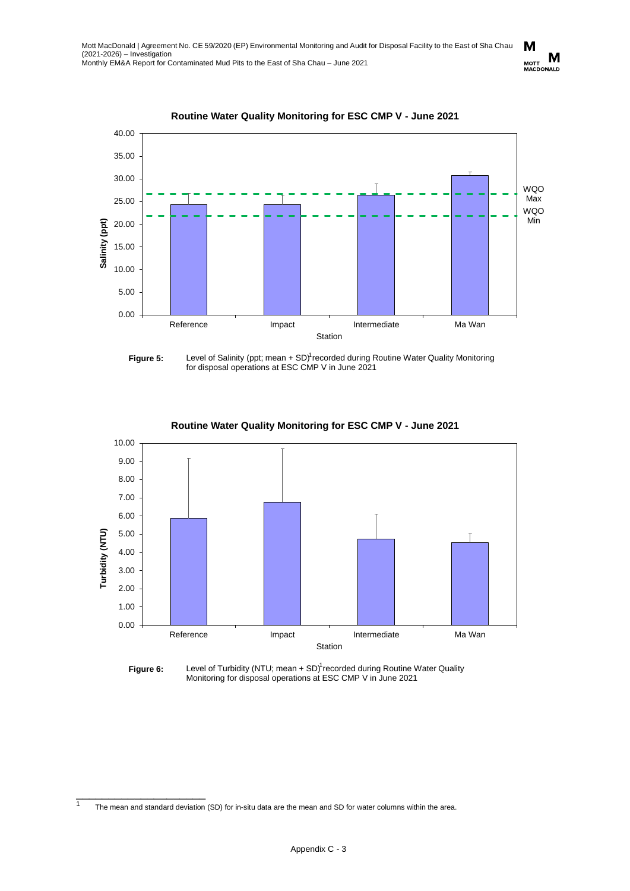

**Routine Water Quality Monitoring for ESC CMP V - June 2021**

**Figure 5:** Level of Salinity (ppt; mean + SD)<sup>1</sup> recorded during Routine Water Quality Monitoring for disposal operations at ESC CMP V in June 2021



**Routine Water Quality Monitoring for ESC CMP V - June 2021**

The mean and standard deviation (SD) for in-situ data are the mean and SD for water columns within the area.

\_\_\_\_\_\_\_\_\_\_\_\_\_\_\_\_\_\_\_\_

 $\overline{1}$ 

M M MOTT IVI<br>MACDONALD

**Figure 6:** Level of Turbidity (NTU; mean + SD)<sup>1</sup> recorded during Routine Water Quality Monitoring for disposal operations at ESC CMP V in June 2021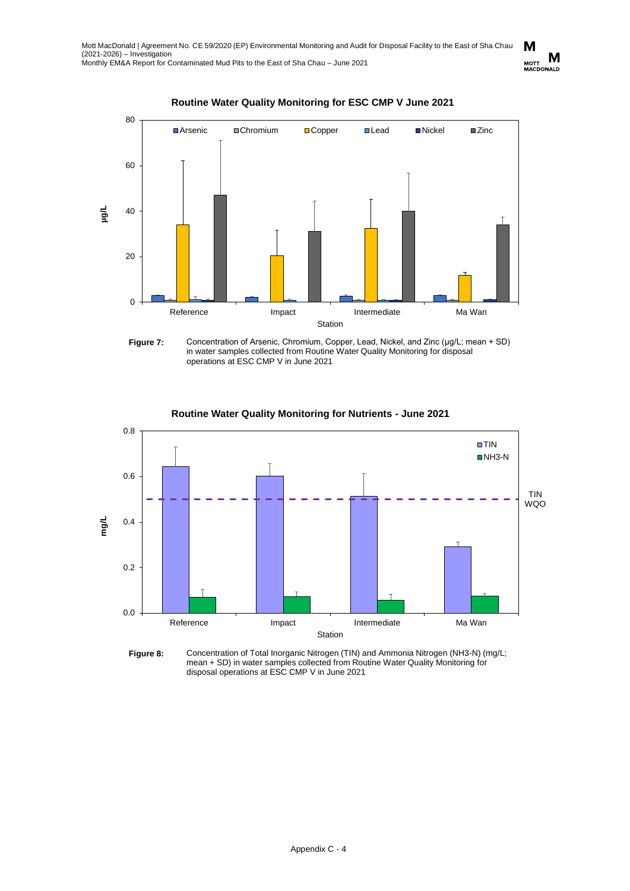

## **Routine Water Quality Monitoring for ESC CMP V June 2021**

**Figure 7:** Concentration of Arsenic, Chromium, Copper, Lead, Nickel, and Zinc (μg/L; mean + SD) in water samples collected from Routine Water Quality Monitoring for disposal operations at ESC CMP V in June 2021



**Routine Water Quality Monitoring for Nutrients - June 2021**

**Figure 8:** Concentration of Total Inorganic Nitrogen (TIN) and Ammonia Nitrogen (NH3-N) (mg/L; mean + SD) in water samples collected from Routine Water Quality Monitoring for disposal operations at ESC CMP V in June 2021

M M MOTT IVE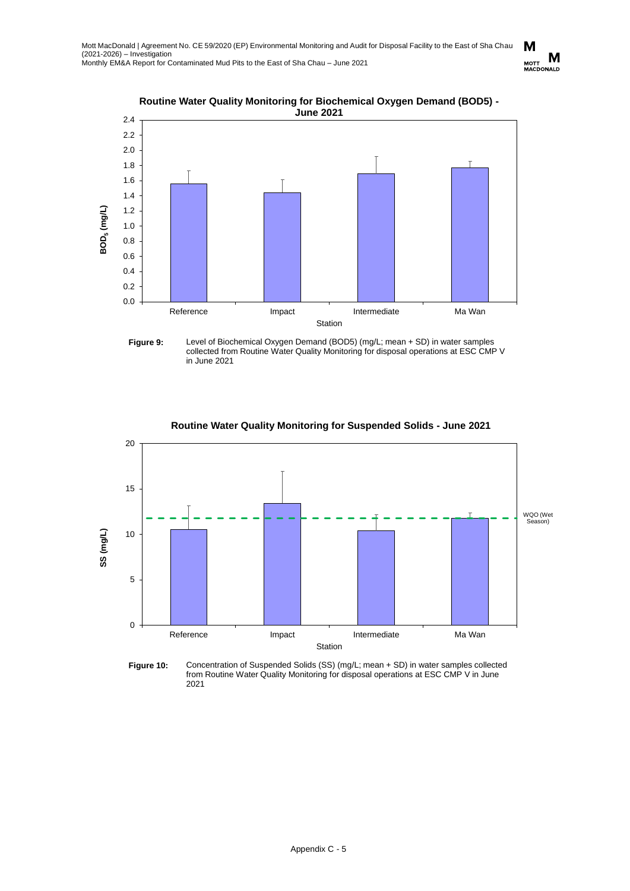

**Routine Water Quality Monitoring for Biochemical Oxygen Demand (BOD5) -**

**Figure 9:** Level of Biochemical Oxygen Demand (BOD5) (mg/L; mean + SD) in water samples collected from Routine Water Quality Monitoring for disposal operations at ESC CMP V in June 2021



**Routine Water Quality Monitoring for Suspended Solids - June 2021**

**Figure 10:** Concentration of Suspended Solids (SS) (mg/L; mean + SD) in water samples collected from Routine Water Quality Monitoring for disposal operations at ESC CMP V in June 2021

M MOTT **IVE**<br>MACDONALD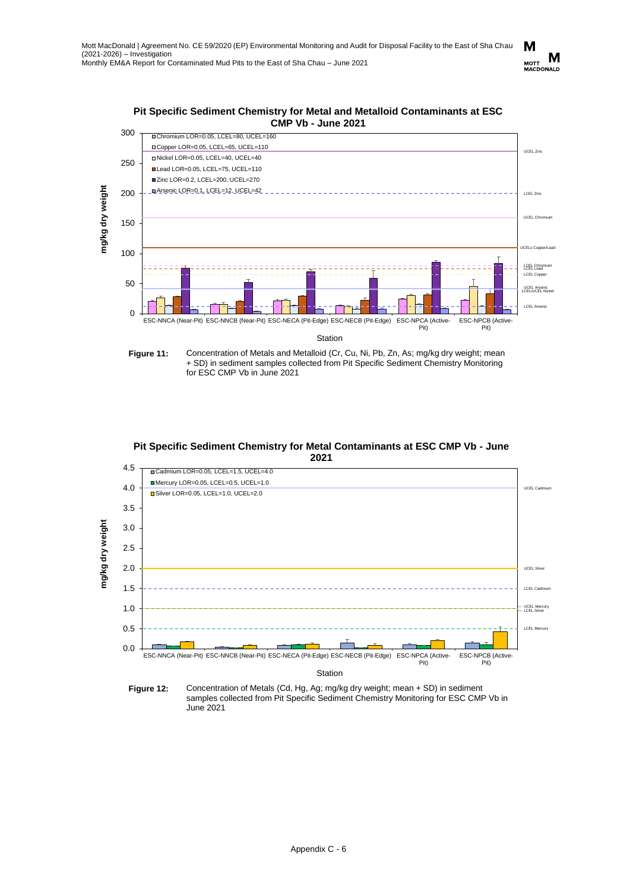





Figure 11: Concentration of Metals and Metalloid (Cr, Cu, Ni, Pb, Zn, As; mg/kg dry weight; mean + SD) in sediment samples collected from Pit Specific Sediment Chemistry Monitoring for ESC CMP Vb in June 2021





**Figure 12:** Concentration of Metals (Cd, Hg, Ag; mg/kg dry weight; mean + SD) in sediment samples collected from Pit Specific Sediment Chemistry Monitoring for ESC CMP Vb in June 2021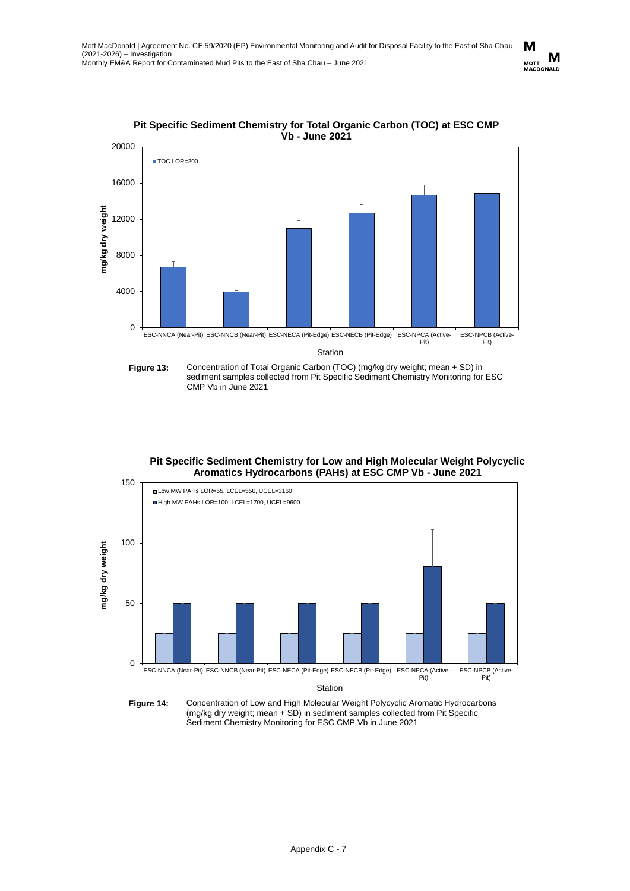



**Figure 13:** Concentration of Total Organic Carbon (TOC) (mg/kg dry weight; mean + SD) in sediment samples collected from Pit Specific Sediment Chemistry Monitoring for ESC CMP Vb in June 2021

## **Pit Specific Sediment Chemistry for Low and High Molecular Weight Polycyclic Aromatics Hydrocarbons (PAHs) at ESC CMP Vb - June 2021**



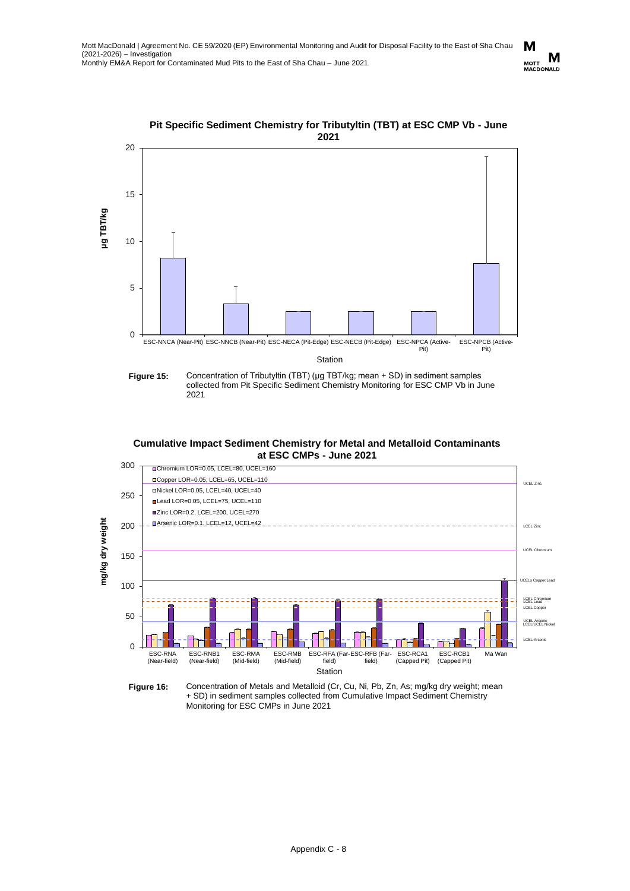



2021





M M MOTT <sup>UVI</sup><br>MACDONALD

**Cumulative Impact Sediment Chemistry for Metal and Metalloid Contaminants at ESC CMPs - June 2021**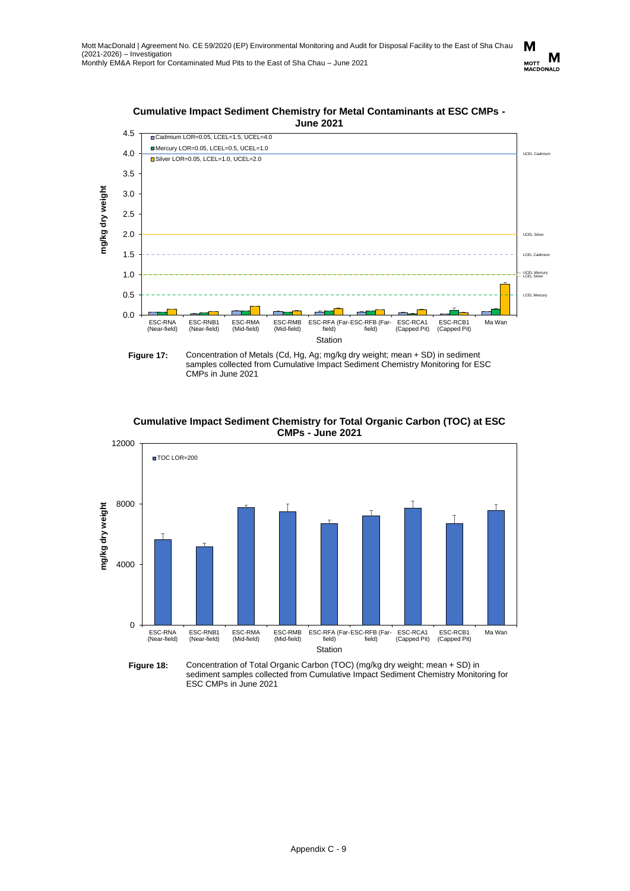

CMPs in June 2021



**Cumulative Impact Sediment Chemistry for Total Organic Carbon (TOC) at ESC CMPs - June 2021**

**Figure 18:** Concentration of Total Organic Carbon (TOC) (mg/kg dry weight; mean + SD) in sediment samples collected from Cumulative Impact Sediment Chemistry Monitoring for ESC CMPs in June 2021

M MOTT **IVE**<br>MACDONALD